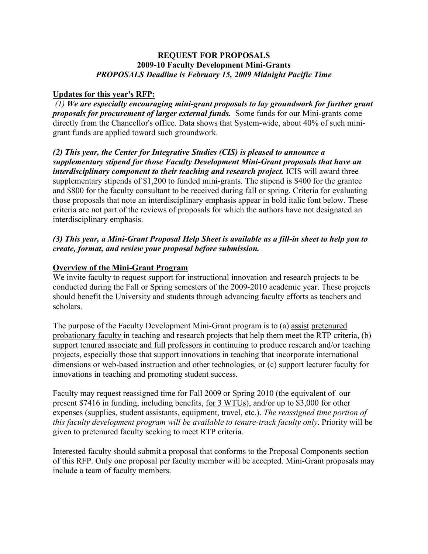### **REQUEST FOR PROPOSALS 2009-10 Faculty Development Mini-Grants** *PROPOSALS Deadline is February 15, 2009 Midnight Pacific Time*

## **Updates for this year's RFP:**

*(1) We are especially encouraging mini-grant proposals to lay groundwork for further grant proposals for procurement of larger external funds.* Some funds for our Mini-grants come directly from the Chancellor's office. Data shows that System-wide, about 40% of such minigrant funds are applied toward such groundwork.

*(2) This year, the Center for Integrative Studies (CIS) is pleased to announce a supplementary stipend for those Faculty Development Mini-Grant proposals that have an interdisciplinary component to their teaching and research project.* ICIS will award three supplementary stipends of \$1,200 to funded mini-grants. The stipend is \$400 for the grantee and \$800 for the faculty consultant to be received during fall or spring. Criteria for evaluating those proposals that note an interdisciplinary emphasis appear in bold italic font below. These criteria are not part of the reviews of proposals for which the authors have not designated an interdisciplinary emphasis.

## *(3) This year, a Mini-Grant Proposal Help Sheet is available as a fill-in sheet to help you to create, format, and review your proposal before submission.*

## **Overview of the Mini-Grant Program**

We invite faculty to request support for instructional innovation and research projects to be conducted during the Fall or Spring semesters of the 2009-2010 academic year. These projects should benefit the University and students through advancing faculty efforts as teachers and scholars.

The purpose of the Faculty Development Mini-Grant program is to (a) assist pretenured probationary faculty in teaching and research projects that help them meet the RTP criteria, (b) support tenured associate and full professors in continuing to produce research and/or teaching projects, especially those that support innovations in teaching that incorporate international dimensions or web-based instruction and other technologies, or (c) support lecturer faculty for innovations in teaching and promoting student success.

Faculty may request reassigned time for Fall 2009 or Spring 2010 (the equivalent of our present \$7416 in funding, including benefits, for 3 WTUs), and/or up to \$3,000 for other expenses (supplies, student assistants, equipment, travel, etc.). *The reassigned time portion of this faculty development program will be available to tenure-track faculty only*. Priority will be given to pretenured faculty seeking to meet RTP criteria.

Interested faculty should submit a proposal that conforms to the Proposal Components section of this RFP. Only one proposal per faculty member will be accepted. Mini-Grant proposals may include a team of faculty members.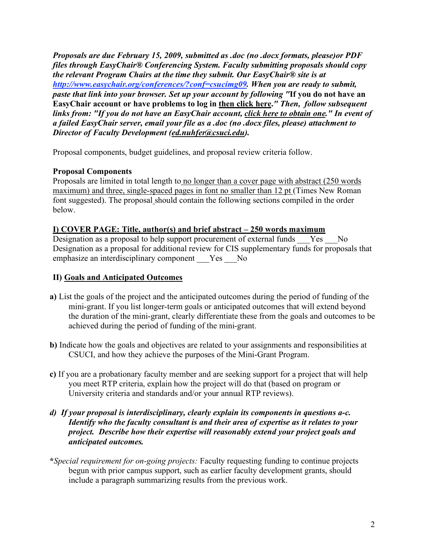*Proposals are due February 15, 2009, submitted as .doc (no .docx formats, please)or PDF files through EasyChair® Conferencing System. Faculty submitting proposals should copy the relevant Program Chairs at the time they submit. Our EasyChair® site is at http://www.easychair.org/conferences/?conf=csucimg09. When you are ready to submit, paste that link into your browser. Set up your account by following "***If you do not have an EasyChair account or have problems to log in then click here.***" Then, follow subsequent links from: "If you do not have an EasyChair account, click here to obtain one." In event of a failed EasyChair server, email your file as a .doc (no .docx files, please) attachment to Director of Faculty Development (ed.nuhfer@csuci.edu).*

Proposal components, budget guidelines, and proposal review criteria follow.

# **Proposal Components**

Proposals are limited in total length to no longer than a cover page with abstract (250 words maximum) and three, single-spaced pages in font no smaller than 12 pt (Times New Roman font suggested). The proposal should contain the following sections compiled in the order below.

## **I) COVER PAGE: Title, author(s) and brief abstract – 250 words maximum**

Designation as a proposal to help support procurement of external funds Yes No Designation as a proposal for additional review for CIS supplementary funds for proposals that emphasize an interdisciplinary component Yes No

# **II) Goals and Anticipated Outcomes**

- **a)** List the goals of the project and the anticipated outcomes during the period of funding of the mini-grant. If you list longer-term goals or anticipated outcomes that will extend beyond the duration of the mini-grant, clearly differentiate these from the goals and outcomes to be achieved during the period of funding of the mini-grant.
- **b)** Indicate how the goals and objectives are related to your assignments and responsibilities at CSUCI, and how they achieve the purposes of the Mini-Grant Program.
- **c)** If you are a probationary faculty member and are seeking support for a project that will help you meet RTP criteria, explain how the project will do that (based on program or University criteria and standards and/or your annual RTP reviews).

### *d) If your proposal is interdisciplinary, clearly explain its components in questions a-c. Identify who the faculty consultant is and their area of expertise as it relates to your project. Describe how their expertise will reasonably extend your project goals and anticipated outcomes.*

**\****Special requirement for on-going projects:* Faculty requesting funding to continue projects begun with prior campus support, such as earlier faculty development grants, should include a paragraph summarizing results from the previous work.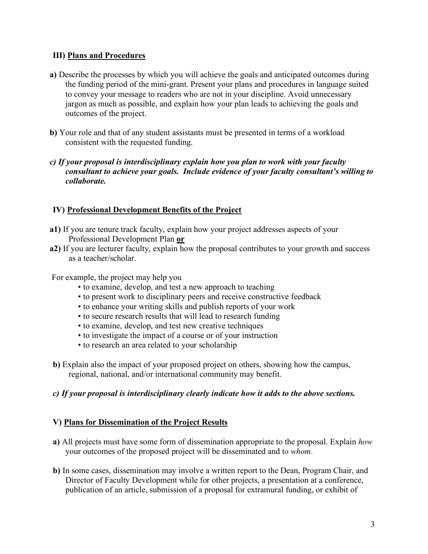## **III) Plans and Procedures**

- **a)** Describe the processes by which you will achieve the goals and anticipated outcomes during the funding period of the mini-grant. Present your plans and procedures in language suited to convey your message to readers who are not in your discipline. Avoid unnecessary jargon as much as possible, and explain how your plan leads to achieving the goals and outcomes of the project.
- **b)** Your role and that of any student assistants must be presented in terms of a workload consistent with the requested funding.
- *c) If your proposal is interdisciplinary explain how you plan to work with your faculty consultant to achieve your goals. Include evidence of your faculty consultant's willing to collaborate.*

# **IV) Professional Development Benefits of the Project**

- **a1)** If you are tenure track faculty, explain how your project addresses aspects of your Professional Development Plan **or**
- **a2)** If you are lecturer faculty, explain how the proposal contributes to your growth and success as a teacher/scholar.

For example, the project may help you

- to examine, develop, and test a new approach to teaching
- to present work to disciplinary peers and receive constructive feedback
- to enhance your writing skills and publish reports of your work
- to secure research results that will lead to research funding
- to examine, develop, and test new creative techniques
- to investigate the impact of a course or of your instruction
- to research an area related to your scholarship
- **b)** Explain also the impact of your proposed project on others, showing how the campus, regional, national, and/or international community may benefit.

# *c) If your proposal is interdisciplinary clearly indicate how it adds to the above sections.*

# **V) Plans for Dissemination of the Project Results**

- **a)** All projects must have some form of dissemination appropriate to the proposal. Explain *how* your outcomes of the proposed project will be disseminated and t*o whom*.
- **b)** In some cases, dissemination may involve a written report to the Dean, Program Chair, and Director of Faculty Development while for other projects, a presentation at a conference, publication of an article, submission of a proposal for extramural funding, or exhibit of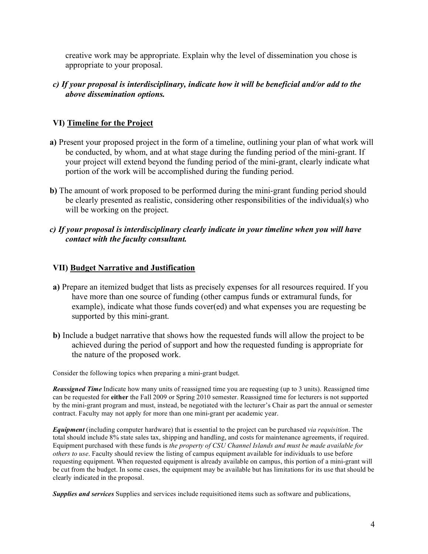creative work may be appropriate. Explain why the level of dissemination you chose is appropriate to your proposal.

## *c) If your proposal is interdisciplinary, indicate how it will be beneficial and/or add to the above dissemination options.*

## **VI) Timeline for the Project**

- **a)** Present your proposed project in the form of a timeline, outlining your plan of what work will be conducted, by whom, and at what stage during the funding period of the mini-grant. If your project will extend beyond the funding period of the mini-grant, clearly indicate what portion of the work will be accomplished during the funding period.
- **b)** The amount of work proposed to be performed during the mini-grant funding period should be clearly presented as realistic, considering other responsibilities of the individual(s) who will be working on the project.
- *c) If your proposal is interdisciplinary clearly indicate in your timeline when you will have contact with the faculty consultant.*

### **VII) Budget Narrative and Justification**

- **a)** Prepare an itemized budget that lists as precisely expenses for all resources required. If you have more than one source of funding (other campus funds or extramural funds, for example), indicate what those funds cover(ed) and what expenses you are requesting be supported by this mini-grant.
- **b)** Include a budget narrative that shows how the requested funds will allow the project to be achieved during the period of support and how the requested funding is appropriate for the nature of the proposed work.

Consider the following topics when preparing a mini-grant budget.

*Reassigned Time* Indicate how many units of reassigned time you are requesting (up to 3 units). Reassigned time can be requested for **either** the Fall 2009 or Spring 2010 semester. Reassigned time for lecturers is not supported by the mini-grant program and must, instead, be negotiated with the lecturer's Chair as part the annual or semester contract. Faculty may not apply for more than one mini-grant per academic year.

*Equipment* (including computer hardware) that is essential to the project can be purchased *via requisition*. The total should include 8% state sales tax, shipping and handling, and costs for maintenance agreements, if required. Equipment purchased with these funds is *the property of CSU Channel Islands and must be made available for others to use*. Faculty should review the listing of campus equipment available for individuals to use before requesting equipment. When requested equipment is already available on campus, this portion of a mini-grant will be cut from the budget. In some cases, the equipment may be available but has limitations for its use that should be clearly indicated in the proposal.

*Supplies and services* Supplies and services include requisitioned items such as software and publications,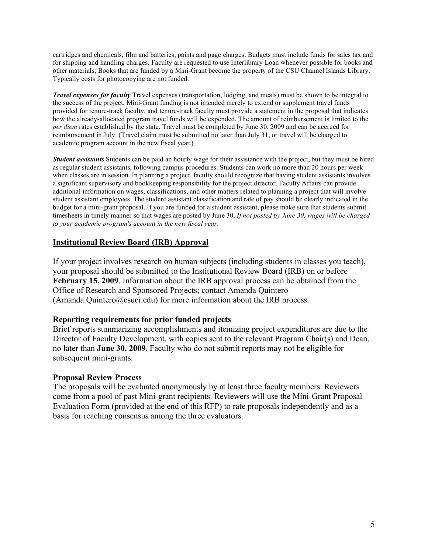cartridges and chemicals, film and batteries, paints and page charges. Budgets must include funds for sales tax and for shipping and handling charges. Faculty are requested to use Interlibrary Loan whenever possible for books and other materials; Books that are funded by a Mini-Grant become the property of the CSU Channel Islands Library. Typically costs for photocopying are not funded.

*Travel expenses for faculty* Travel expenses (transportation, lodging, and meals) must be shown to be integral to the success of the project. Mini-Grant funding is not intended merely to extend or supplement travel funds provided for tenure-track faculty, and tenure-track faculty must provide a statement in the proposal that indicates how the already-allocated program travel funds will be expended. The amount of reimbursement is limited to the *per diem* rates established by the state. Travel must be completed by June 30, 2009 and can be accrued for reimbursement in July. (Travel claim must be submitted no later than July 31, or travel will be charged to academic program account in the new fiscal year.)

*Student assistants* Students can be paid an hourly wage for their assistance with the project, but they must be hired as regular student assistants, following campus procedures. Students can work no more than 20 hours per week when classes are in session. In planning a project, faculty should recognize that having student assistants involves a significant supervisory and bookkeeping responsibility for the project director. Faculty Affairs can provide additional information on wages, classifications, and other matters related to planning a project that will involve student assistant employees. The student assistant classification and rate of pay should be clearly indicated in the budget for a mini-grant proposal. If you are funded for a student assistant, please make sure that students submit timesheets in timely manner so that wages are posted by June 30. *If not posted by June 30, wages will be charged to your academic program's account in the new fiscal year*.

### **Institutional Review Board (IRB) Approval**

If your project involves research on human subjects (including students in classes you teach), your proposal should be submitted to the Institutional Review Board (IRB) on or before **February 15, 2009**. Information about the IRB approval process can be obtained from the Office of Research and Sponsored Projects; contact Amanda Quintero (Amanda.Quintero@csuci.edu) for more information about the IRB process.

#### **Reporting requirements for prior funded projects**

Brief reports summarizing accomplishments and itemizing project expenditures are due to the Director of Faculty Development, with copies sent to the relevant Program Chair(s) and Dean, no later than **June 30, 2009.** Faculty who do not submit reports may not be eligible for subsequent mini-grants.

#### **Proposal Review Process**

The proposals will be evaluated anonymously by at least three faculty members. Reviewers come from a pool of past Mini-grant recipients. Reviewers will use the Mini-Grant Proposal Evaluation Form (provided at the end of this RFP) to rate proposals independently and as a basis for reaching consensus among the three evaluators.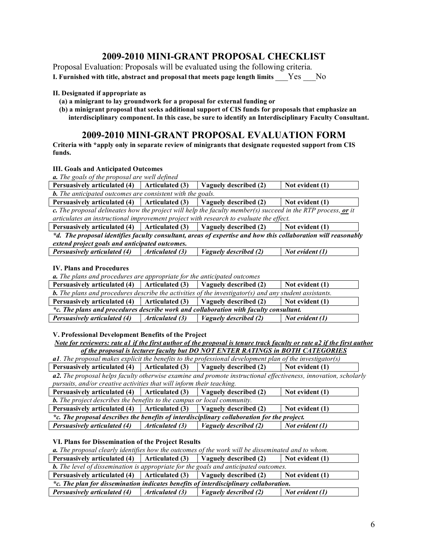# **2009-2010 MINI-GRANT PROPOSAL CHECKLIST**

Proposal Evaluation: Proposals will be evaluated using the following criteria.

**I. Furnished with title, abstract and proposal that meets page length limits** \_\_\_Yes \_\_\_No

#### **II. Designated if appropriate as**

**(a) a minigrant to lay groundwork for a proposal for external funding or**

**(b) a minigrant proposal that seeks additional support of CIS funds for proposals that emphasize an interdisciplinary component. In this case, be sure to identify an Interdisciplinary Faculty Consultant.**

# **2009-2010 MINI-GRANT PROPOSAL EVALUATION FORM**

**Criteria with \*apply only in separate review of minigrants that designate requested support from CIS funds.**

#### **III. Goals and Anticipated Outcomes**

*a. The goals of the proposal are well defined*

| Persuasively articulated (4) $\int$ Articulated (3) $\int$ Vaguely described (2) |  |  | $\mid$ Not evident $(1)$ |  |
|----------------------------------------------------------------------------------|--|--|--------------------------|--|
| <b>b.</b> The anticipated outcomes are consistent with the goals.                |  |  |                          |  |

**Persuasively articulated (4) Articulated (3) Vaguely described (2) Not evident (1)** c. The proposal delineates how the project will help the faculty member(s) succeed in the RTP process, or it *articulates an instructional improvement project with research to evaluate the effect.*

**Persuasively articulated (4) Articulated (3) Vaguely described (2) Not evident (1)** *\*d. The proposal identifies faculty consultant, areas of expertise and how this collaboration will reasonably extend project goals and anticipated outcomes.*

*Persuasively articulated (4) Articulated (3) Vaguely described (2) Not evident (1)*

#### **IV. Plans and Procedures**

*a. The plans and procedures are appropriate for the anticipated outcomes*

| <b>Persuasively articulated (4)</b>                                                                           | Articulated (3)         | Vaguely described (2)        | Not evident (1)         |  |
|---------------------------------------------------------------------------------------------------------------|-------------------------|------------------------------|-------------------------|--|
| <b>b.</b> The plans and procedures describe the activities of the investigator(s) and any student assistants. |                         |                              |                         |  |
| Persuasively articulated (4)   Articulated (3)   Vaguely described (2)                                        |                         |                              | $\vert$ Not evident (1) |  |
| *c. The plans and procedures describe work and collaboration with faculty consultant.                         |                         |                              |                         |  |
| <b>Persuasively articulated (4)</b>                                                                           | $\vert$ Articulated (3) | <i>Vaguely described (2)</i> | $Not$ evident $(1)$     |  |

**V. Professional Development Benefits of the Project**

Note for reviewers: rate al if the first author of the proposal is tenure track faculty or rate a2 if the first author *of the proposal is lecturer faculty but DO NOT ENTER RATINGS in BOTH CATEGORIES*

*a1. The proposal makes explicit the benefits to the professional development plan of the investigator(s)*

**Persuasively articulated (4) Articulated (3) Vaguely described (2) Not evident (1)**

*a2. The proposal helps faculty otherwise examine and promote instructional effectiveness, innovation, scholarly pursuits, and/or creative activities that will inform their teaching.*

| Persuasively articulated $(4)$   Articulated $(3)$                                          |  | Vaguely described (2) | Not evident (1) |
|---------------------------------------------------------------------------------------------|--|-----------------------|-----------------|
| <b>b.</b> The project describes the benefits to the campus or local community.              |  |                       |                 |
| Persuasively articulated $(4)$   Articulated $(3)$                                          |  | Vaguely described (2) | Not evident (1) |
| *c. The proposal describes the benefits of interdisciplinary collaboration for the project. |  |                       |                 |

*Persuasively articulated (4) Articulated (3) Vaguely described (2) Not evident (1)*

#### **VI. Plans for Dissemination of the Project Results**

*a. The proposal clearly identifies how the outcomes of the work will be disseminated and to whom.*

**Persuasively articulated (4) Articulated (3) Vaguely described (2) Not evident (1)**

| <b>b.</b> The level of dissemination is appropriate for the goals and anticipated outcomes. |                 |                              |                 |  |
|---------------------------------------------------------------------------------------------|-----------------|------------------------------|-----------------|--|
| Persuasively articulated (4)   Articulated (3)   Vaguely described (2)                      |                 |                              | Not evident (1) |  |
| *c. The plan for dissemination indicates benefits of interdisciplinary collaboration.       |                 |                              |                 |  |
| <b>Persuasively articulated (4)</b>                                                         | Articulated (3) | <i>Vaguely described (2)</i> | Not evident (1) |  |